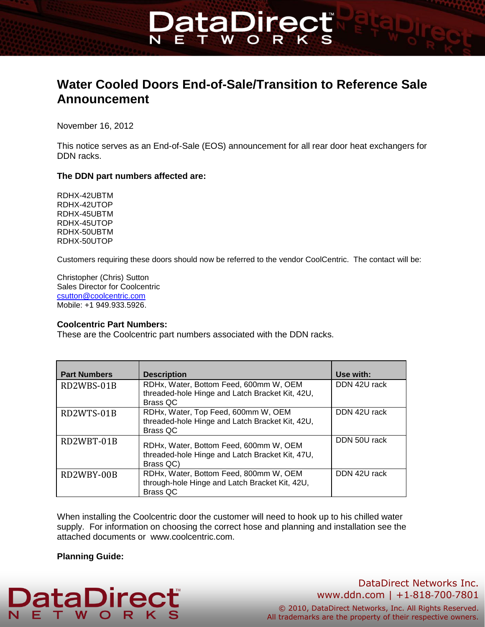# **Water Cooled Doors End-of-Sale/Transition to Reference Sale Announcement**

**DataDirec** 

**W** 

November 16, 2012

This notice serves as an End-of-Sale (EOS) announcement for all rear door heat exchangers for DDN racks.

#### **The DDN part numbers affected are:**

RDHX-42UBTM RDHX-42UTOP RDHX-45UBTM RDHX-45UTOP RDHX-50UBTM RDHX-50UTOP

Customers requiring these doors should now be referred to the vendor CoolCentric. The contact will be:

Christopher (Chris) Sutton Sales Director for Coolcentric [csutton@coolcentric.com](mailto:csutton@coolcentric.com) Mobile: +1 949.933.5926.

#### **Coolcentric Part Numbers:**

These are the Coolcentric part numbers associated with the DDN racks.

| <b>Part Numbers</b> | <b>Description</b>                                                                                          | Use with:    |
|---------------------|-------------------------------------------------------------------------------------------------------------|--------------|
| RD2WBS-01B          | RDHx, Water, Bottom Feed, 600mm W, OEM<br>threaded-hole Hinge and Latch Bracket Kit, 42U,<br>Brass QC       | DDN 42U rack |
| RD2WTS-01B          | RDHx, Water, Top Feed, 600mm W, OEM<br>threaded-hole Hinge and Latch Bracket Kit, 42U,<br>Brass QC          | DDN 42U rack |
| RD2WBT-01B          | RDHx, Water, Bottom Feed, 600mm W, OEM<br>threaded-hole Hinge and Latch Bracket Kit, 47U,<br>Brass QC)      | DDN 50U rack |
| RD2WBY-00B          | RDHx, Water, Bottom Feed, 800mm W, OEM<br>through-hole Hinge and Latch Bracket Kit, 42U,<br><b>Brass QC</b> | DDN 42U rack |

When installing the Coolcentric door the customer will need to hook up to his chilled water supply. For information on choosing the correct hose and planning and installation see the attached documents or www.coolcentric.com.

#### **Planning Guide:**

#### **DataDirec** Е. **W** T.

# DataDirect Networks Inc. www.ddn.com | +1‐818‐700‐7801

© 2010, DataDirect Networks, Inc. All Rights Reserved. All trademarks are the property of their respective owners.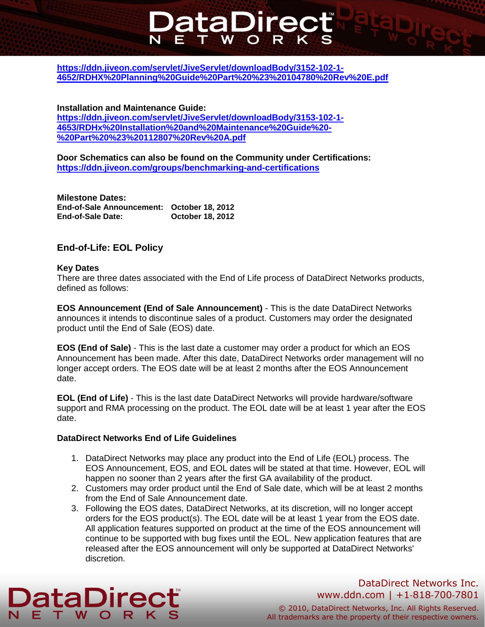# **[https://ddn.jiveon.com/servlet/JiveServlet/downloadBody/3152-102-1-](https://ddn.jiveon.com/servlet/JiveServlet/downloadBody/3152-102-1-4652/RDHX%20Planning%20Guide%20Part%20%23%20104780%20Rev%20E.pdf) [4652/RDHX%20Planning%20Guide%20Part%20%23%20104780%20Rev%20E.pdf](https://ddn.jiveon.com/servlet/JiveServlet/downloadBody/3152-102-1-4652/RDHX%20Planning%20Guide%20Part%20%23%20104780%20Rev%20E.pdf)**

**DataDired** 

**W** 

### **Installation and Maintenance Guide:**

**[https://ddn.jiveon.com/servlet/JiveServlet/downloadBody/3153-102-1-](https://ddn.jiveon.com/servlet/JiveServlet/downloadBody/3153-102-1-4653/RDHx%20Installation%20and%20Maintenance%20Guide%20-%20Part%20%23%20112807%20Rev%20A.pdf) [4653/RDHx%20Installation%20and%20Maintenance%20Guide%20-](https://ddn.jiveon.com/servlet/JiveServlet/downloadBody/3153-102-1-4653/RDHx%20Installation%20and%20Maintenance%20Guide%20-%20Part%20%23%20112807%20Rev%20A.pdf) [%20Part%20%23%20112807%20Rev%20A.pdf](https://ddn.jiveon.com/servlet/JiveServlet/downloadBody/3153-102-1-4653/RDHx%20Installation%20and%20Maintenance%20Guide%20-%20Part%20%23%20112807%20Rev%20A.pdf)**

**Door Schematics can also be found on the Community under Certifications: <https://ddn.jiveon.com/groups/benchmarking-and-certifications>**

#### **Milestone Dates:**

| End-of-Sale Announcement: October 18, 2012 |                         |
|--------------------------------------------|-------------------------|
| <b>End-of-Sale Date:</b>                   | <b>October 18, 2012</b> |

# **End-of-Life: EOL Policy**

#### **Key Dates**

There are three dates associated with the End of Life process of DataDirect Networks products, defined as follows:

**EOS Announcement (End of Sale Announcement)** - This is the date DataDirect Networks announces it intends to discontinue sales of a product. Customers may order the designated product until the End of Sale (EOS) date.

**EOS (End of Sale)** - This is the last date a customer may order a product for which an EOS Announcement has been made. After this date, DataDirect Networks order management will no longer accept orders. The EOS date will be at least 2 months after the EOS Announcement date.

**EOL (End of Life)** - This is the last date DataDirect Networks will provide hardware/software support and RMA processing on the product. The EOL date will be at least 1 year after the EOS date.

#### **DataDirect Networks End of Life Guidelines**

- 1. DataDirect Networks may place any product into the End of Life (EOL) process. The EOS Announcement, EOS, and EOL dates will be stated at that time. However, EOL will happen no sooner than 2 years after the first GA availability of the product.
- 2. Customers may order product until the End of Sale date, which will be at least 2 months from the End of Sale Announcement date.
- 3. Following the EOS dates, DataDirect Networks, at its discretion, will no longer accept orders for the EOS product(s). The EOL date will be at least 1 year from the EOS date. All application features supported on product at the time of the EOS announcement will continue to be supported with bug fixes until the EOL. New application features that are released after the EOS announcement will only be supported at DataDirect Networks' discretion.

# **DataDirec**

# DataDirect Networks Inc. www.ddn.com | +1‐818‐700‐7801

© 2010, DataDirect Networks, Inc. All Rights Reserved. All trademarks are the property of their respective owners.